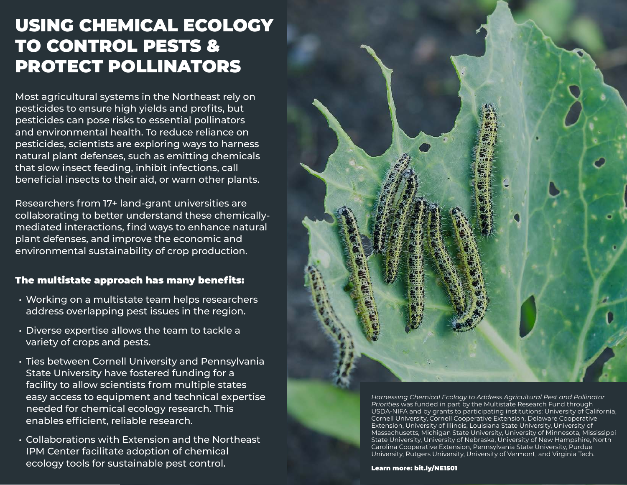## USING CHEMICAL ECOLOGY TO CONTROL PESTS & PROTECT POLLINATORS

Most agricultural systems in the Northeast rely on pesticides to ensure high yields and profits, but pesticides can pose risks to essential pollinators and environmental health. To reduce reliance on pesticides, scientists are exploring ways to harness natural plant defenses, such as emitting chemicals that slow insect feeding, inhibit infections, call beneficial insects to their aid, or warn other plants.

Researchers from 17+ land-grant universities are collaborating to better understand these chemicallymediated interactions, find ways to enhance natural plant defenses, and improve the economic and environmental sustainability of crop production.

### The multistate approach has many benefits:

- Working on a multistate team helps researchers address overlapping pest issues in the region.
- Diverse expertise allows the team to tackle a variety of crops and pests.
- Ties between Cornell University and Pennsylvania State University have fostered funding for a facility to allow scientists from multiple states easy access to equipment and technical expertise needed for chemical ecology research. This enables efficient, reliable research.
- Collaborations with Extension and the Northeast IPM Center facilitate adoption of chemical ecology tools for sustainable pest control.

*Harnessing Chemical Ecology to Address Agricultural Pest and Pollinator Priorities* was funded in part by the Multistate Research Fund through USDA-NIFA and by grants to participating institutions: University of California, Cornell University, Cornell Cooperative Extension, Delaware Cooperative Extension, University of Illinois, Louisiana State University, University of Massachusetts, Michigan State University, University of Minnesota, Mississippi State University, University of Nebraska, University of New Hampshire, North Carolina Cooperative Extension, Pennsylvania State University, Purdue University, Rutgers University, University of Vermont, and Virginia Tech.

Learn more: [bit.ly/NE1501](http://bit.ly/NE1501)